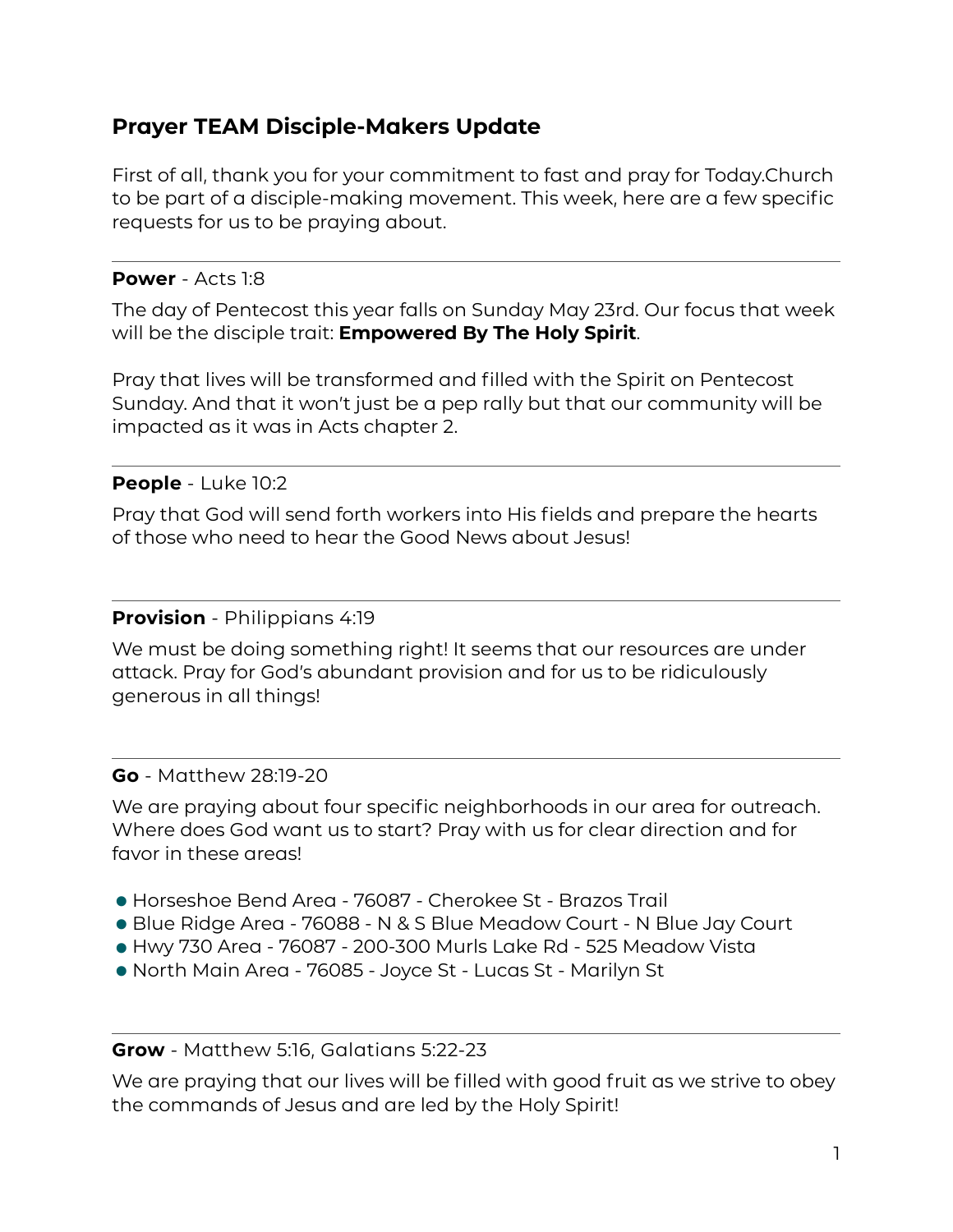# **Prayer TEAM Disciple-Makers Update**

First of all, thank you for your commitment to fast and pray for Today.Church to be part of a disciple-making movement. This week, here are a few specific requests for us to be praying about.

## **Power** - Acts 1:8

The day of Pentecost this year falls on Sunday May 23rd. Our focus that week will be the disciple trait: **Empowered By The Holy Spirit**.

Pray that lives will be transformed and filled with the Spirit on Pentecost Sunday. And that it won't just be a pep rally but that our community will be impacted as it was in Acts chapter 2.

# **People** - Luke 10:2

Pray that God will send forth workers into His fields and prepare the hearts of those who need to hear the Good News about Jesus!

### **Provision** - Philippians 4:19

We must be doing something right! It seems that our resources are under attack. Pray for God's abundant provision and for us to be ridiculously generous in all things!

#### **Go** - Matthew 28:19-20

We are praying about four specific neighborhoods in our area for outreach. Where does God want us to start? Pray with us for clear direction and for favor in these areas!

- •Horseshoe Bend Area 76087 Cherokee St Brazos Trail
- Horseshoe Bend Area 76087 Cherokee St Brazos Trail<br>• Blue Ridge Area 76088 N & S Blue Meadow Court N Blue Jay Court<br>• Hwy 730 Area 76087 200-300 Murls Lake Rd 525 Meadow Vista
- Blue Ridge Area 76088 N & S Blue Meadow Court N Blue Jay Co.<br>• Hwy 730 Area 76087 200-300 Murls Lake Rd 525 Meadow Vista<br>• North Main Area 76085 Joyce St Lucas St Marilyn St. • Hwy 730 Area - 76087 - 200-300 Murls Lake Rd - 525 Meadow Vista<br>• North Main Area - 76085 - Joyce St - Lucas St - Marilyn St
- 

#### **Grow** - Matthew 5:16, Galatians 5:22-23

We are praying that our lives will be filled with good fruit as we strive to obey the commands of Jesus and are led by the Holy Spirit!